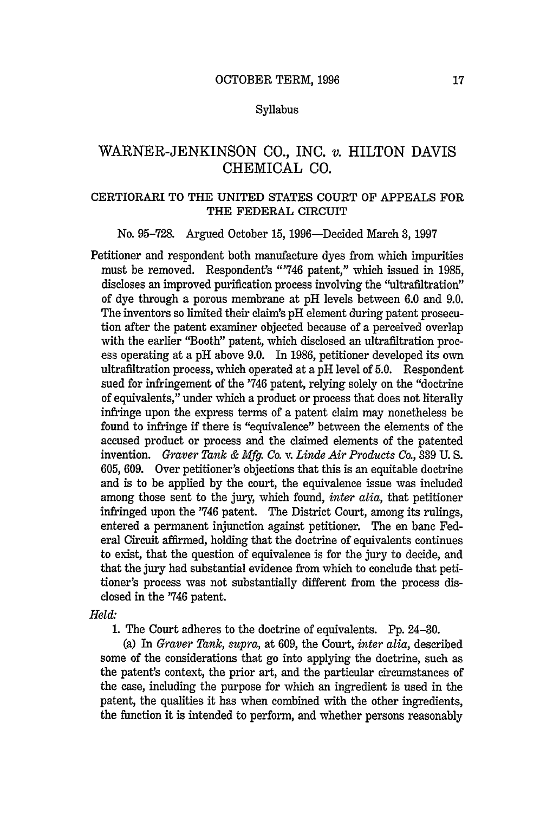#### Syllabus

# WARNER-JENKINSON CO., INC. *v.* HILTON DAVIS CHEMICAL CO.

### CERTIORARI TO THE UNITED STATES COURT OF APPEALS FOR THE FEDERAL CIRCUIT

No. 95-728. Argued October 15, 1996-Decided March **3,** 1997

Petitioner and respondent both manufacture dyes from which impurities must be removed. Respondent's "'746 patent," which issued in 1985, discloses an improved purification process involving the "ultrafiltration" of dye through a porous membrane at **pH** levels between 6.0 and 9.0. The inventors so limited their claim's pH element during patent prosecution after the patent examiner objected because of a perceived overlap with the earlier "Booth" patent, which disclosed an ultrafiltration process operating at a pH above 9.0. In 1986, petitioner developed its own ultrafiltration process, which operated at a pH level of 5.0. Respondent sued for infringement of the '746 patent, relying solely on the "doctrine of equivalents," under which a product or process that does not literally infringe upon the express terms of a patent claim may nonetheless be found to infringe if there is "equivalence" between the elements of the accused product or process and the claimed elements of the patented invention. *Graver Tank & Mfg. Co. v. Linde Air Products Co.,* 339 U. S. 605, 609. Over petitioner's objections that this is an equitable doctrine and is to be applied by the court, the equivalence issue was included among those sent to the **jury,** which found, *inter alia,* that petitioner infringed upon the '746 patent. The District Court, among its rulings, entered a permanent injunction against petitioner. The en banc Federal Circuit affirmed, holding that the doctrine of equivalents continues to exist, that the question of equivalence is for the jury to decide, and that the jury had substantial evidence from which to conclude that petitioner's process was not substantially different from the process disclosed in the '746 patent.

*Hel&*

1. The Court adheres to the doctrine of equivalents. **Pp.** 24-30.

(a) In *Graver Tank, supra,* at 609, the Court, *inter alia,* described some of the considerations that go into applying the doctrine, such as the patent's context, the prior art, and the particular circumstances of the case, including the purpose for which an ingredient is used in the patent, the qualities it has when combined with the other ingredients, the function it is intended to perform, and whether persons reasonably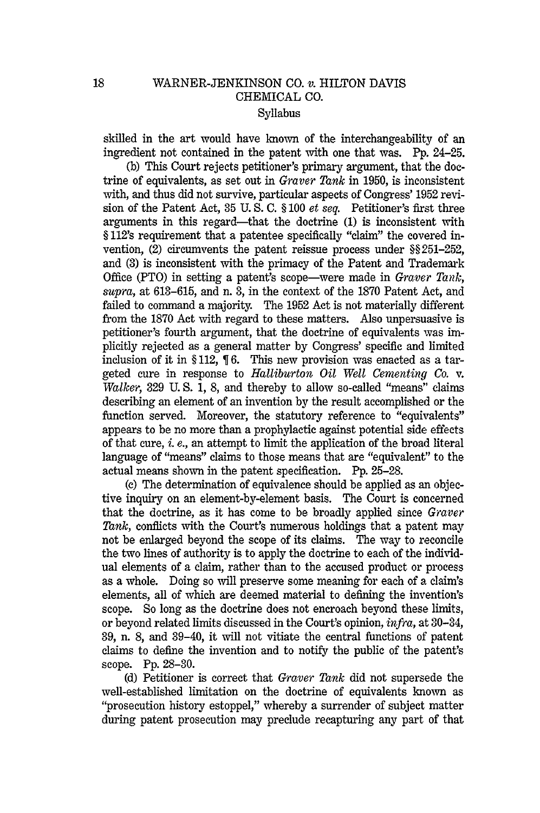# 18 WARNER-JENKINSON CO. *v.* HILTON DAVIS CHEMICAL CO. Syllabus

skilled in the art would have known of the interchangeability of an ingredient not contained in the patent with one that was. Pp. 24-25.

(b) This Court rejects petitioner's primary argument, that the doctrine of equivalents, as set out in *Graver Tank* in 1950, is inconsistent with, and thus did not survive, particular aspects of Congress' 1952 revision of the Patent Act, **35** U. S. C. § 100 *et seq.* Petitioner's first three arguments in this regard-that the doctrine (1) is inconsistent with § 112's requirement that a patentee specifically "claim" the covered invention, (2) circumvents the patent reissue process under §§251-252, and **(3)** is inconsistent with the primacy of the Patent and Trademark Office (PTO) in setting a patent's scope-were made in *Graver Tank, supra,* at 613-615, and n. **3,** in the context of the 1870 Patent Act, and failed to command a majority. The 1952 Act is not materially different from the 1870 Act with regard to these matters. Also unpersuasive is petitioner's fourth argument, that the doctrine of equivalents was implicitly rejected as a general matter by Congress' specific and limited inclusion of it in §112,  $\sqrt{6}$ . This new provision was enacted as a targeted cure in response to *Halliburton Oil Well Cementing Co.* v. *Walker,* **329** U. **S.** 1, 8, and thereby to allow so-called "means" claims describing an element of an invention by the result accomplished or the function served. Moreover, the statutory reference to "equivalents" appears to be no more than a prophylactic against potential side effects of that cure, *i. e.,* an attempt to limit the application of the broad literal language of "means" claims to those means that are "equivalent" to the actual means shown in the patent specification. Pp. 25-28.

**(e)** The determination of equivalence should be applied as an objective inquiry on an element-by-element basis. The Court is concerned that the doctrine, as it has come to be broadly applied since *Graver Tank,* conflicts with the Court's numerous holdings that a patent may not be enlarged beyond the scope of its claims. The way to reconcile the two lines of authority is to apply the doctrine to each of the individual elements of a claim, rather than to the accused product or process as a whole. Doing so will preserve some meaning for each of a claim's elements, all of which are deemed material to defining the invention's scope. So long as the doctrine does not encroach beyond these limits, or beyond related limits discussed in the Court's opinion, *infra,* at 80-34, **39,** n. 8, and 39-40, it will not vitiate the central functions of patent claims to define the invention and to notify the public of the patent's scope. Pp. 28-80.

(d) Petitioner is correct that *Graver Tank* did not supersede the well-established limitation on the doctrine of equivalents known as "prosecution history estoppel," whereby a surrender of subject matter during patent prosecution may preclude recapturing any part of that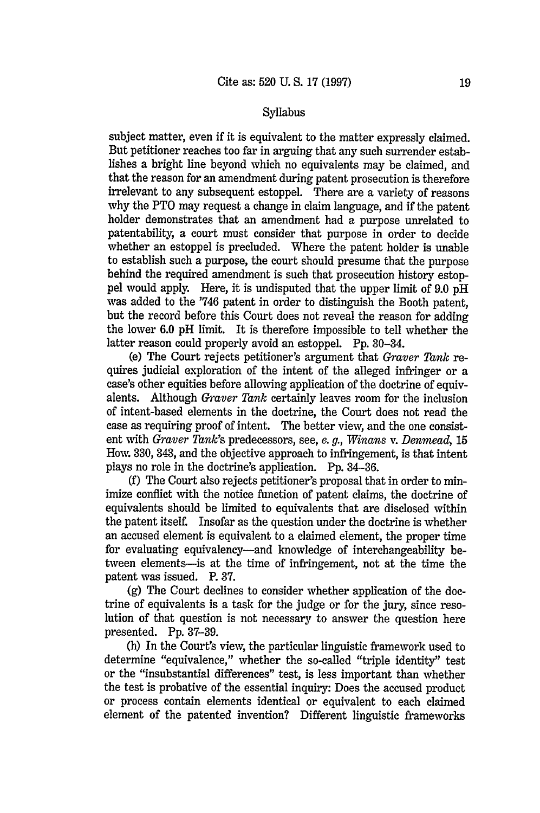#### Syllabus

subject matter, even if it is equivalent to the matter expressly claimed. But petitioner reaches too far in arguing that any such surrender establishes a bright line beyond which no equivalents may be claimed, and that the reason for an amendment during patent prosecution is therefore irrelevant to any subsequent estoppel. There are a variety of reasons why the PTO may request a change in claim language, and if the patent holder demonstrates that an amendment had a purpose unrelated to patentability, a court must consider that purpose in order to decide whether an estoppel is precluded. Where the patent holder is unable to establish such a purpose, the court should presume that the purpose behind the required amendment is such that prosecution history estoppel would apply. Here, it is undisputed that the upper limit of 9.0 pH was added to the '746 patent in order to distinguish the Booth patent, but the record before this Court does not reveal the reason for adding the lower 6.0 pH limit. It is therefore impossible to tell whether the latter reason could properly avoid an estoppel. Pp. 30-34.

(e) The Court rejects petitioner's argument that *Graver Tank* requires judicial exploration of the intent of the alleged infringer or a case's other equities before allowing application of the doctrine of equivalents. Although *Graver Tank* certainly leaves room for the inclusion of intent-based elements in the doctrine, the Court does not read the case as requiring proof of intent. The better view, and the one consistent with *Graver Tank's* predecessors, see, *e. g., Winans* v. *Denmead,* 15 How. 330, 343, and the objective approach to infringement, is that intent plays no role in the doctrine's application. Pp. 34-36.

(f) The Court also rejects petitioner's proposal that in order to minimize conflict with the notice function of patent claims, the doctrine of equivalents should be limited to equivalents that are disclosed within the patent itself. Insofar as the question under the doctrine is whether an accused element is equivalent to a claimed element, the proper time for evaluating equivalency-and knowledge of interchangeability between elements-is at the time of infringement, not at the time the patent was issued. P. 37.

(g) The Court declines to consider whether application of the doctrine of equivalents is a task for the judge or for the jury, since resolution of that question is not necessary to answer the question here presented. Pp. 37-39.

(h) In the Court's view, the particular linguistic framework used to determine "equivalence," whether the so-called "triple identity" test or the "insubstantial differences" test, is less important than whether the test is probative of the essential inquiry: Does the accused product or process contain elements identical or equivalent to each claimed element of the patented invention? Different linguistic frameworks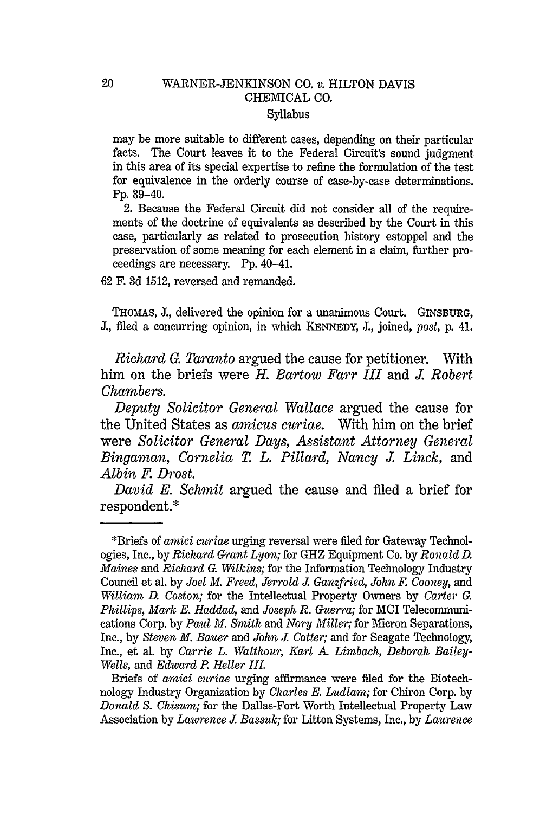### Syllabus

may be more suitable to different cases, depending on their particular facts. The Court leaves it to the Federal Circuit's sound judgment in this area of its special expertise to refine the formulation of the test for equivalence in the orderly course of case-by-case determinations. Pp. 39-40.

2. Because the Federal Circuit did not consider all of the requirements of the doctrine of equivalents as described by the Court in this case, particularly as related to prosecution history estoppel and the preservation of some meaning for each element in a claim, further proceedings are necessary. Pp. 40-41.

62 F. 3d 1512, reversed and remanded.

THOMAS, J., delivered the opinion for a unanimous Court. GINSBURG, **J.,** filed a concurring opinion, in which **KENNEDY, J.,** joined, *post,* p. 41.

*Richard G. Taranto* argued the cause for petitioner. With him on the briefs were *H. Bartow Farr III* and *J. Robert Chambers.*

*Deputy Solicitor General Wallace* argued the cause for the United States as *amicus curiae.* With him on the brief were Solicitor *General Days, Assistant Attorney General Bingaman, Cornelia* T *L. Pillard, Nancy J. Linck,* and Albin *F. Drost.*

*David E. Schmit* argued the cause and filed a brief for respondent.\*

<sup>\*</sup>Briefs of *amici curiae* urging reversal were filed for Gateway Technologies, Inc., by *Richard Grant Lyon;* for GHZ Equipment Co. by *Ronald D. Maines* and *Richard G. Wilkins;* for the Information Technology Industry Council et al. by *Joel M. Freed, Jerrold J Ganzfried, John F. Cooney,* and *William D. Coston;* for the Intellectual Property Owners by *Carter G. Phillips, Mark E. Haddad,* and *Joseph R. Guerra;* for MCI Telecommunications Corp. by *Paul M. Smith* and *Nory Miller*; for Micron Separations, Inc., by *Steven M. Bauer* and *John J. Cotter;* and for Seagate Technology, Inc., et al. by *Carrie L. Walthour, Karl A Limbach, Deborah Bailey-Wells,* and *Edward P. Heller III.*

Briefs of *amici curiae* urging affirmance were filed for the Biotechnology Industry Organization by *Charles E. Ludlam;* for Chiron Corp. by *Donald S. Chisum;* for the Dallas-Fort Worth Intellectual Property Law Association by *Lawrence* **J** *Bassuk;* for Litton Systems, Inc., by *Laurence*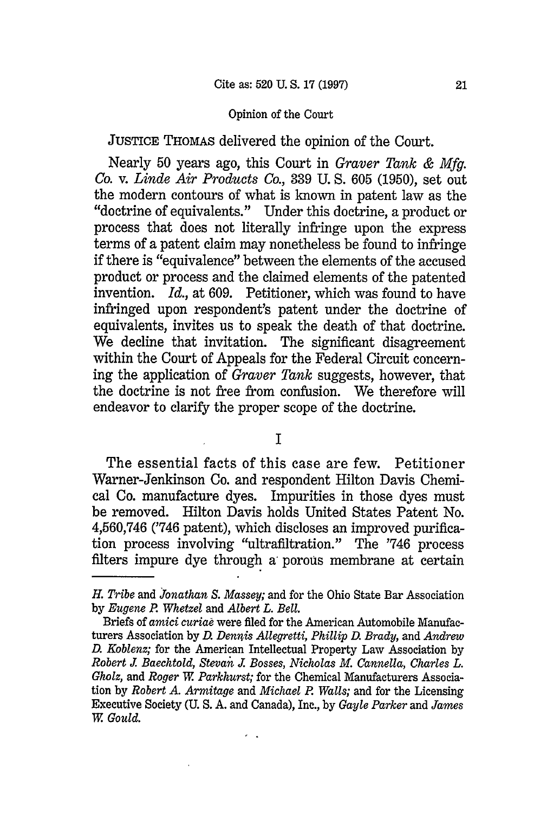JUSTICE THOMAS delivered the opinion of the Court.

Nearly 50 years ago, this Court in *Graver Tank & Mfg. Co.* v. *Linde Air Products Co.,* 339 U. S. 605 (1950), set out the modern contours of what is known in patent law as the "doctrine of equivalents." Under this doctrine, a product or process that does not literally infringe upon the express terms of a patent claim may nonetheless be found to infringe if there is "equivalence" between the elements of the accused product or process and the claimed elements of the patented invention. *Id.,* at 609. Petitioner, which was found to have infringed upon respondent's patent under the doctrine of equivalents, invites us to speak the death of that doctrine. We decline that invitation. The significant disagreement within the Court of Appeals for the Federal Circuit concerning the application of *Graver Tank* suggests, however, that the doctrine is not free from confusion. We therefore will endeavor to clarify the proper scope of the doctrine.

T

The essential facts of this case are few. Petitioner Warner-Jenkinson Co. and respondent Hilton Davis Chemical Co. manufacture dyes. Impurities in those dyes must be removed. Hilton Davis holds United States Patent No. 4,560,746 ('746 patent), which discloses an improved purification process involving "ultrafiltration." The '746 process filters impure dye through a porous membrane at certain

*H. Tribe* and *Jonathan S. Massey;* and for the Ohio State Bar Association by *Eugene P. Whetzel* and *Albert L. Bell.*

Briefs of *amici curiae* were filed for the American Automobile Manufacturers Association by *D. Dennis Allegretti, Phillip D. Brady,* and *Andrew D. Koblenz;* for the American Intellectual Property Law Association by Robert J. Baechtold, Stevan J. Bosses, Nicholas M. Cannella, Charles L. *Gholz,* and *Roger W. Parkhurst;* for the Chemical Manufacturers Association by *Robert A. Armitage* and *Michael R Walls;* and for the Licensing Executive Society (U. S. A. and Canada), Inc., by *Gayle Parker* and *James W. Gould.*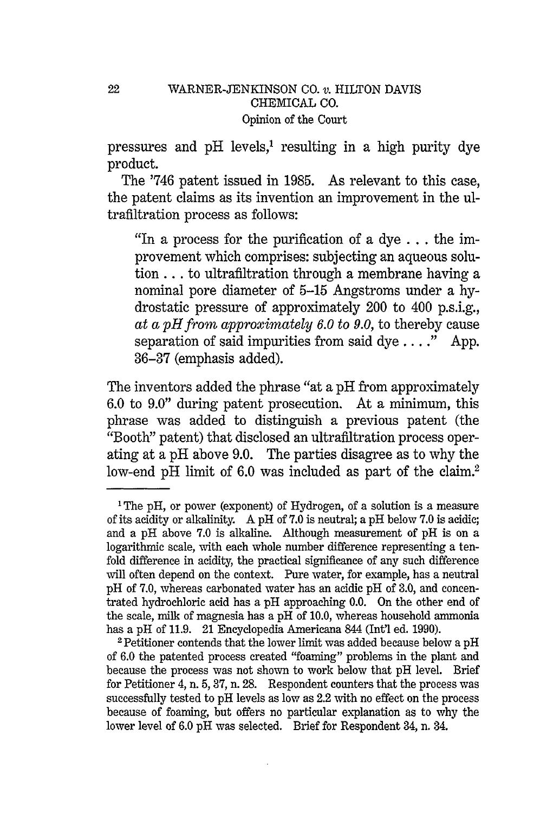pressures and pH levels,' resulting in a high purity dye product.

The '746 patent issued in 1985. As relevant to this case, the patent claims as its invention an improvement in the ultrafiltration process as follows:

"In a process for the purification of a dye **...** the improvement which comprises: subjecting an aqueous solution.., to ultrafiltration through a membrane having a nominal pore diameter of 5-15 Angstroms under a hydrostatic pressure of approximately 200 to 400 p.s.i.g., *at a pH from approximately 6.0 to 9.0,* to thereby cause separation of said impurities from said dye ...." App. 36-37 (emphasis added).

The inventors added the phrase "at a pH from approximately 6.0 to 9.0" during patent prosecution. At a minimum, this phrase was added to distinguish a previous patent (the "Booth" patent) that disclosed an ultrafiltration process operating at a pH above 9.0. The parties disagree as to why the low-end pH limit of 6.0 was included as part of the claim.<sup>2</sup>

**I** The pH, or power (exponent) of Hydrogen, of a solution is a measure of its acidity or alkalinity. A pH of 7.0 is neutral; a pH below 7.0 is acidic; and a pH above 7.0 is alkaline. Although measurement of pH is on a logarithmic scale, with each whole number difference representing a tenfold difference in acidity, the practical significance of any such difference will often depend on the context. Pure water, for example, has a neutral pH of 7.0, whereas carbonated water has an acidic pH of 3.0, and concentrated hydrochloric acid has a pH approaching 0.0. On the other end of the scale, milk of magnesia has a pH of 10.0, whereas household ammonia has a pH of 11.9. 21 Encyclopedia Americana 844 (Int'l ed. 1990).

<sup>&</sup>lt;sup>2</sup> Petitioner contends that the lower limit was added because below a pH of 6.0 the patented process created "foaming" problems in the plant and because the process was not shown to work below that pH level. Brief for Petitioner 4, n. 5, **37,** n. 28. Respondent counters that the process was successfully tested to pH levels as low as 2.2 with no effect on the process because of foaming, but offers no particular explanation as to why the lower level of 6.0 pH was selected. Brief for Respondent 34, n. 34.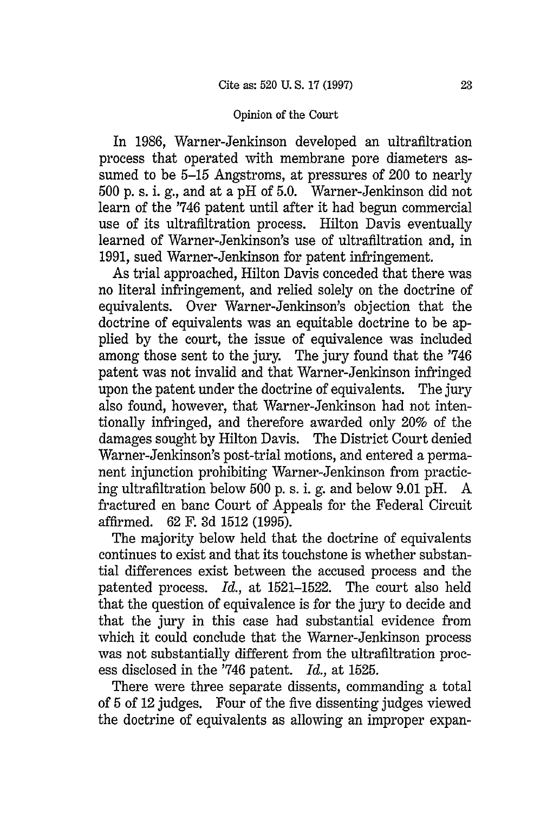In 1986, Warner-Jenkinson developed an ultrafiltration process that operated with membrane pore diameters assumed to be 5-15 Angstroms, at pressures of 200 to nearly 500 p. s. i. g., and at a pH of 5.0. Warner-Jenkinson did not learn of the '746 patent until after it had begun commercial use of its ultrafiltration process. Hilton Davis eventually learned of Warner-Jenkinson's use of ultrafiltration and, in 1991, sued Warner-Jenkinson for patent infringement.

As trial approached, Hilton Davis conceded that there was no literal infringement, and relied solely on the doctrine of equivalents. Over Warner-Jenkinson's objection that the doctrine of equivalents was an equitable doctrine to be applied by the court, the issue of equivalence was included among those sent to the jury. The jury found that the '746 patent was not invalid and that Warner-Jenkinson infringed upon the patent under the doctrine of equivalents. The jury also found, however, that Warner-Jenkinson had not intentionally infringed, and therefore awarded only 20% of the damages sought by Hilton Davis. The District Court denied Warner-Jenkinson's post-trial motions, and entered a permanent injunction prohibiting Warner-Jenkinson from practicing ultrafiltration below 500 p. s. i. g. and below 9.01 pH. A fractured en banc Court of Appeals for the Federal Circuit affirmed. 62 F. 3d 1512 (1995).

The majority below held that the doctrine of equivalents continues to exist and that its touchstone is whether substantial differences exist between the accused process and the patented process. *Id.,* at 1521-1522. The court also held that the question of equivalence is for the jury to decide and that the jury in this case had substantial evidence from which it could conclude that the Warner-Jenkinson process was not substantially different from the ultrafiltration process disclosed in the '746 patent. *Id.,* at 1525.

There were three separate dissents, commanding a total of 5 of 12 judges. Four of the five dissenting judges viewed the doctrine of equivalents as allowing an improper expan-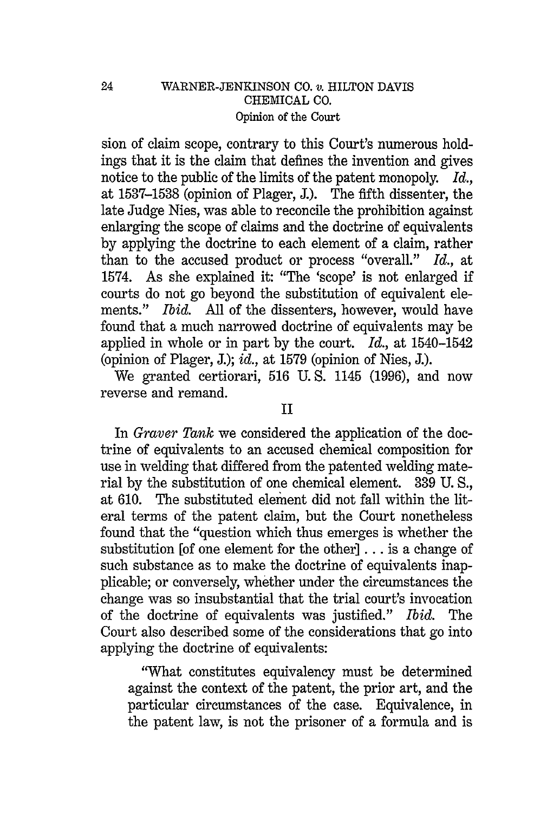# 24 WARNER-JENKINSON CO. *v.* HILTON DAVIS CHEMICAL CO. Opinion of the Court

sion of claim scope, contrary to this Court's numerous holdings that it is the claim that defines the invention and gives notice to the public of the limits of the patent monopoly. *Id.,* at 1537-1538 (opinion of Plager, J.). The fifth dissenter, the late Judge Nies, was able to reconcile the prohibition against enlarging the scope of claims and the doctrine of equivalents by applying the doctrine to each element of a claim, rather than to the accused product or process "overall." *Id.,* at 1574. As she explained it: "The 'scope' is not enlarged if courts do not go beyond the substitution of equivalent elements." *Ibid.* All of the dissenters, however, would have found that a much narrowed doctrine of equivalents may be applied in whole or in part by the court. *Id.,* at 1540-1542 (opinion of Plager, J.); *id.,* at 1579 (opinion of Nies, J.).

We granted certiorari, 516 U. **S.** 1145 (1996), and now reverse and remand.

# II

In *Graver Tank* we considered the application of the doctrine of equivalents to an accused chemical composition for use in welding that differed from the patented welding material by the substitution of one chemical element. **339** U. S., at 610. The substituted element did not fall within the literal terms of the patent claim, but the Court nonetheless found that the "question which thus emerges is whether the substitution [of one element for the other] **...** is a change of such substance as to make the doctrine of equivalents inapplicable; or conversely, whether under the circumstances the change was so insubstantial that the trial court's invocation of the doctrine of equivalents was justified." *Ibid.* The Court also described some of the considerations that go into applying the doctrine of equivalents:

"What constitutes equivalency must be determined against the context of the patent, the prior art, and the particular circumstances of the case. Equivalence, in the patent law, is not the prisoner of a formula and is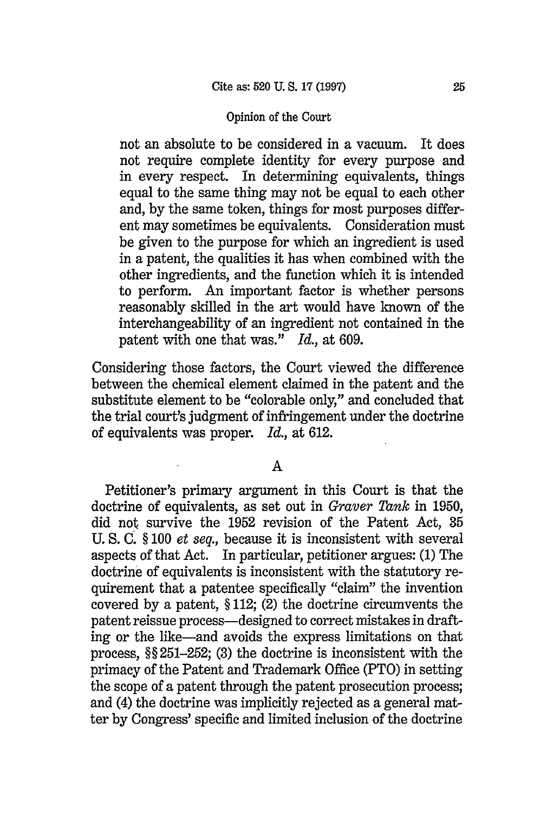not an absolute to be considered in a vacuum. It does not require complete identity for every purpose and in every respect. In determining equivalents, things equal to the same thing may not be equal to each other and, by the same token, things for most purposes different may sometimes be equivalents. Consideration must be given to the purpose for which an ingredient is used in a patent, the qualities it has when combined with the other ingredients, and the function which it is intended to perform. An important factor is whether persons reasonably skilled in the art would have known of the interchangeability of an ingredient not contained in the patent with one that was." *Id.,* at 609.

Considering those factors, the Court viewed the difference between the chemical element claimed in the patent and the substitute element to be "colorable only," and concluded that the trial court's judgment of infringement under the doctrine of equivalents was proper. *Id.,* at 612.

# A

Petitioner's primary argument in this Court is that the doctrine of equivalents, as set out in *Graver Tank* in 1950, did not survive the 1952 revision of the Patent Act, 35 U. S. **C.** § 100 *et seq.,* because it is inconsistent with several aspects of that Act. In particular, petitioner argues: (1) The doctrine of equivalents is inconsistent with the statutory requirement that a patentee specifically "claim" the invention covered by a patent, § 112; (2) the doctrine circumvents the patent reissue process-designed to correct mistakes in drafting or the like-and avoids the express limitations on that process, §§ 251-252; (3) the doctrine is inconsistent with the primacy of the Patent and Trademark Office (PTO) in setting the scope of a patent through the patent prosecution process; and (4) the doctrine was implicitly rejected as a general matter by Congress' specific and limited inclusion of the doctrine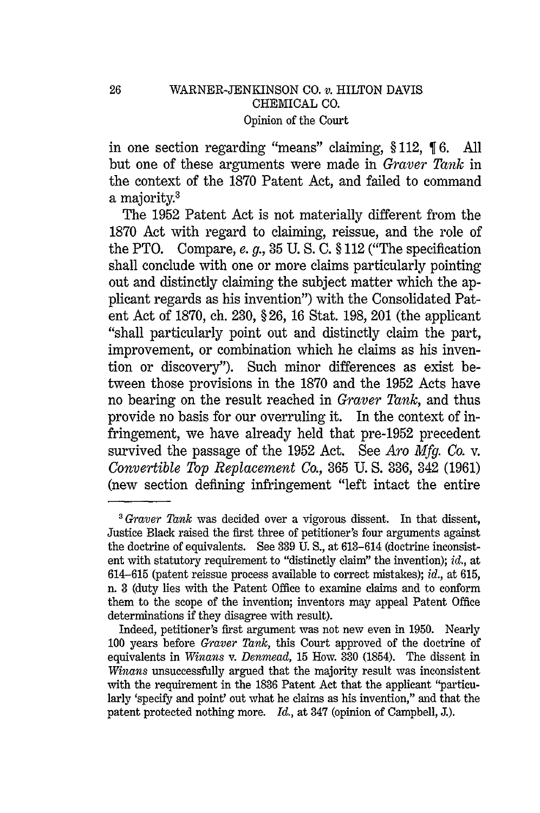in one section regarding "means" claiming, §112, ¶6. All but one of these arguments were made in *Graver Tank* in the context of the 1870 Patent Act, and failed to command a majority.<sup>3</sup>

The 1952 Patent Act is not materially different from the 1870 Act with regard to claiming, reissue, and the role of the PTO. Compare, *e. g.,* 35 U. S. C. § 112 ("The specification shall conclude with one or more claims particularly pointing out and distinctly claiming the subject matter which the applicant regards as his invention") with the Consolidated Patent Act of 1870, ch. 230, § 26, 16 Stat. 198, 201 (the applicant "shall particularly point out and distinctly claim the part, improvement, or combination which he claims as his invention or discovery"). Such minor differences as exist between those provisions in the 1870 and the 1952 Acts have no bearing on the result reached in *Graver Tank,* and thus provide no basis for our overruling it. In the context of infringement, we have already held that pre-1952 precedent survived the passage of the 1952 Act. See *Aro Mfg. Co. v. Convertible Top Replacement Co.,* 365 U. **S.** 336, 342 (1961) (new section defining infringement "left intact the entire

*S'Graver Tank* was decided over a vigorous dissent. In that dissent, Justice Black raised the first three of petitioner's four arguments against the doctrine of equivalents. See 339 U. S., at 613-614 (doctrine inconsistent with statutory requirement to "distinctly claim" the invention); *id.,* at 614-615 (patent reissue process available to correct mistakes); *id.,* at 615, n. **3** (duty lies with the Patent Office to examine claims and to conform them to the scope of the invention; inventors may appeal Patent Office determinations if they disagree with result).

Indeed, petitioner's first argument was not new even in 1950. Nearly 100 years before *Graver Tank,* this Court approved of the doctrine of equivalents in *Winans* v. *Dennead,* 15 How. 330 (1854). The dissent in *Winans* unsuccessfully argued that the majority result was inconsistent with the requirement in the 1836 Patent Act that the applicant "particularly 'specify and point' out what he claims as his invention," and that the patent protected nothing more. *Id.,* at 347 (opinion of Campbell, J.).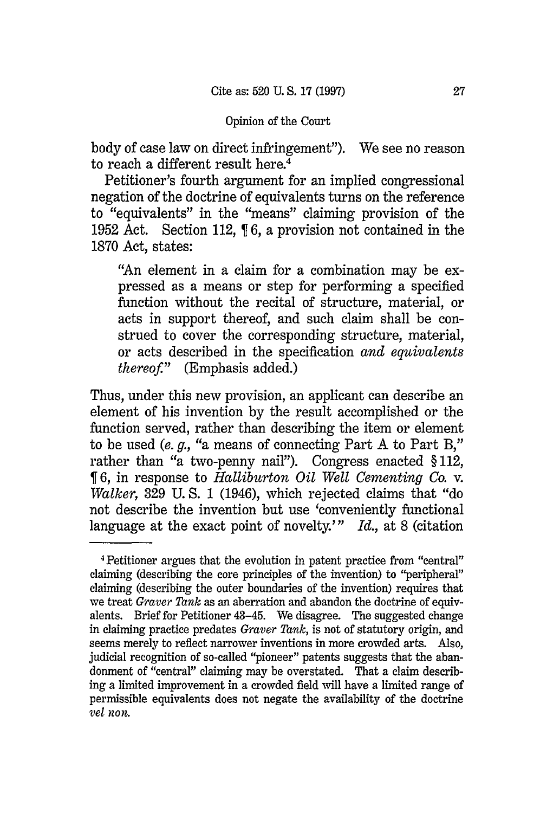body of case law on direct infringement"). We see no reason to reach a different result here.4

Petitioner's fourth argument for an implied congressional negation of the doctrine of equivalents turns on the reference to "equivalents" in the "means" claiming provision of the 1952 Act. Section 112, 16, a provision not contained in the 1870 Act, states:

"An element in a claim for a combination may be expressed as a means or step for performing a specified function without the recital of structure, material, or acts in support thereof, and such claim shall be construed to cover the corresponding structure, material, or acts described in the specification *and equivalents thereof."* (Emphasis added.)

Thus, under this new provision, an applicant can describe an element of his invention by the result accomplished or the function served, rather than describing the item or element to be used *(e. g.,* "a means of connecting Part A to Part B," rather than "a two-penny nail"). Congress enacted § 112, 6, in response to *Halliburton Oil Well Cementing Co. v. Walker,* 329 U. S. 1 (1946), which rejected claims that "do not describe the invention but use 'conveniently functional language at the exact point of novelty."' *Id.,* at 8 (citation

<sup>&</sup>lt;sup>4</sup> Petitioner argues that the evolution in patent practice from "central" claiming (describing the core principles of the invention) to "peripheral" claiming (describing the outer boundaries of the invention) requires that we treat *Graver Tank* as an aberration and abandon the doctrine of equivalents. Brief for Petitioner 43-45. We disagree. The suggested change in claiming practice predates *Graver Tank,* is not of statutory origin, and seems merely to reflect narrower inventions in more crowded arts. Also, judicial recognition of so-called "pioneer" patents suggests that the abandonment of "central" claiming may be overstated. That a claim describing a limited improvement in a crowded field will have a limited range of permissible equivalents does not negate the availability of the doctrine vel *non.*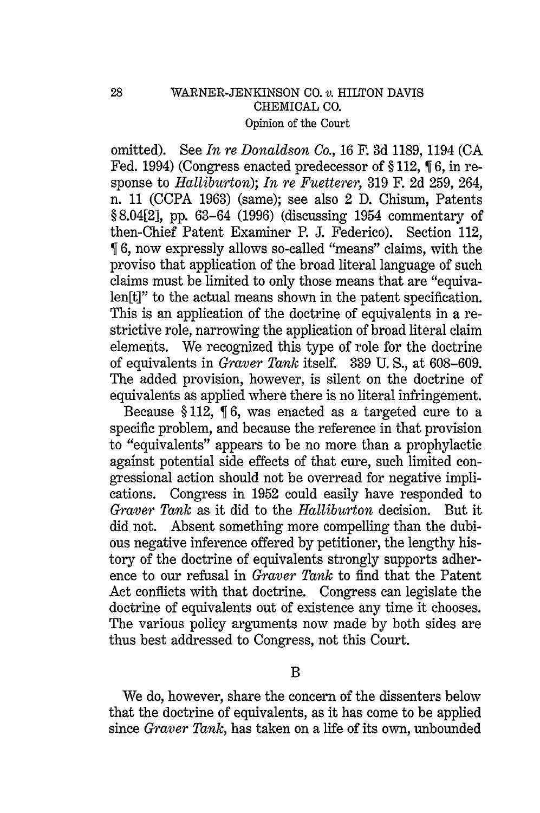# 28 WARNER-JENKINSON CO. *v.* HILTON DAVIS CHEMICAL CO. Opinion of the Court

omitted). See *In re Donaldson Co.,* 16 F. 3d 1189, 1194 (CA Fed. 1994) (Congress enacted predecessor of  $$112, $6$ , in response to *Halliburton); In re Fuetterer,* 319 F. 2d 259, 264, n. 11 (CCPA 1963) (same); see also 2 D. Chisum, Patents **§** 8.04[2], pp. 63-64 (1996) (discussing 1954 commentary of then-Chief Patent Examiner P. J. Federico). Section 112, 6, now expressly allows so-called "means" claims, with the proviso that application of the broad literal language of such claims must be limited to only those means that are "equivalen[t]" to the actual means shown in the patent specification. This is an application of the doctrine of equivalents in a restrictive role, narrowing the application of broad literal claim elements. We recognized this type of role for the doctrine of equivalents in *Graver Tank* itself. 339 U. S., at 608-609. The added provision, however, is silent on the doctrine of equivalents as applied where there is no literal infringement.

Because  $$112, $6,$  was enacted as a targeted cure to a specific problem, and because the reference in that provision to "equivalents" appears to be no more than a prophylactic against potential side effects of that cure, such limited congressional action should not be overread for negative implications. Congress in 1952 could easily have responded to *Graver Tank* as it did to the *Halliburton* decision. But it did not. Absent something more compelling than the dubious negative inference offered by petitioner, the lengthy history of the doctrine of equivalents strongly supports adherence to our refusal in *Graver Tank* to find that the Patent Act conflicts with that doctrine. Congress can legislate the doctrine of equivalents out of existence any time it chooses. The various policy arguments now made by both sides are thus best addressed to Congress, not this Court.

We do, however, share the concern of the dissenters below that the doctrine of equivalents, as it has come to be applied since *Graver Tank,* has taken on a life of its own, unbounded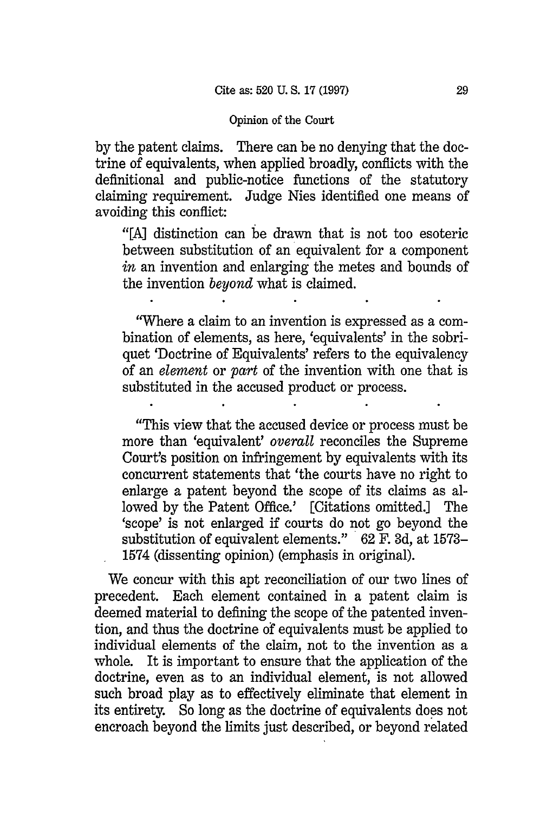by the patent claims. There can be no denying that the doctrine of equivalents, when applied broadly, conflicts with the definitional and public-notice functions of the statutory claiming requirement. Judge Nies identified one means of avoiding this conflict:

"[A] distinction can be drawn that is not too esoteric between substitution of an equivalent for a component *in* an invention and enlarging the metes and bounds of the invention *beyond* what is claimed.

"Where a claim to an invention is expressed as a combination of elements, as here, 'equivalents' in the sobriquet 'Doctrine of Equivalents' refers to the equivalency of an *element* or *part* of the invention with one that is substituted in the accused product or process.

"This view that the accused device or process must be more than 'equivalent' *overall* reconciles the Supreme Court's position on infringement by equivalents with its concurrent statements that 'the courts have no right to enlarge a patent beyond the scope of its claims as allowed by the Patent Office.' [Citations omitted.] The 'scope' is not enlarged if courts do not go beyond the substitution of equivalent elements." 62 F. 3d, at 1573- 1574 (dissenting opinion) (emphasis in original).

We concur with this apt reconciliation of our two lines of precedent. Each element contained in a patent claim is deemed material to defining the scope of the patented invention, and thus the doctrine of equivalents must be applied to individual elements of the claim, not to the invention as a whole. It is important to ensure that the application of the doctrine, even as to an individual element, is not allowed such broad play as to effectively eliminate that element in its entirety. So long as the doctrine of equivalents does not encroach beyond the limits just described, or beyond related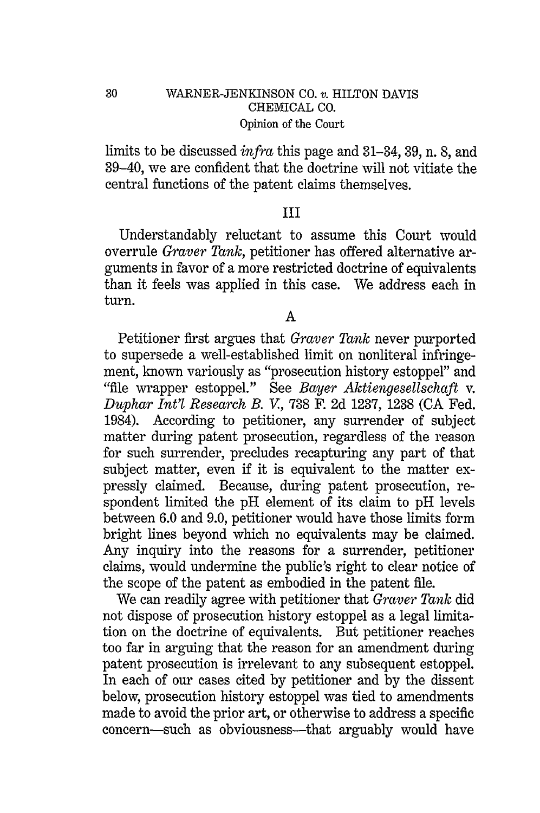limits to be discussed *infra* this page and 31-34, 39, n. 8, and 39-40, we are confident that the doctrine will not vitiate the central functions of the patent claims themselves.

# III

Understandably reluctant to assume this Court would overrule *Graver Tank,* petitioner has offered alternative arguments in favor of a more restricted doctrine of equivalents than it feels was applied in this case. We address each in turn.

A

Petitioner first argues that *Graver Tank* never purported to supersede a well-established limit on nonliteral infringement, known variously as "prosecution history estoppel" and "file wrapper estoppel." See *Bayer Aktiengesellschaft v. Duphar Int'l Research B. V,* 738 F. 2d 1237, 1238 (CA Fed. 1984). According to petitioner, any surrender of subject matter during patent prosecution, regardless of the reason for such surrender, precludes recapturing any part of that subject matter, even if it is equivalent to the matter expressly claimed. Because, during patent prosecution, respondent limited the pH element of its claim to pH levels between 6.0 and 9.0, petitioner would have those limits form bright lines beyond which no equivalents may be claimed. Any inquiry into the reasons for a surrender, petitioner claims, would undermine the public's right to clear notice of the scope of the patent as embodied in the patent fie.

We can readily agree with petitioner that *Graver Tank* did not dispose of prosecution history estoppel as a legal limitation on the doctrine of equivalents. But petitioner reaches too far in arguing that the reason for an amendment during patent prosecution is irrelevant to any subsequent estoppel. In each of our cases cited by petitioner and by the dissent below, prosecution history estoppel was tied to amendments made to avoid the prior art, or otherwise to address a specific concern-such as obviousness-that arguably would have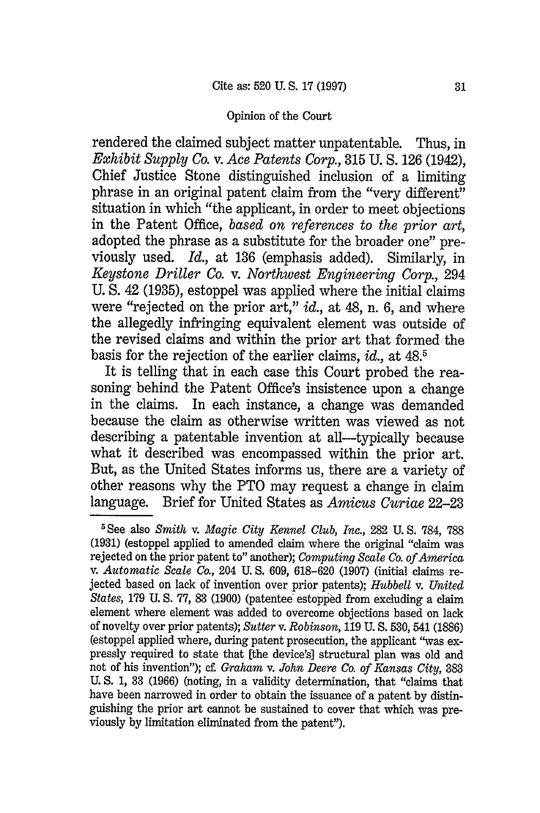rendered the claimed subject matter unpatentable. Thus, in *Exhibit Supply Co. v. Ace Patents Corp.,* 315 U. S. 126 (1942), Chief Justice Stone distinguished inclusion of a limiting phrase in an original patent claim from the "very different" situation in which "the applicant, in order to meet objections in the Patent Office, *based on references to the prior art,* adopted the phrase as a substitute for the broader one" previously used. *Id.,* at **136** (emphasis added). Similarly, in *Keystone Driller Co. v. Northwest Engineering Corp.,* 294 U. S. 42 (1935), estoppel was applied where the initial claims were "rejected on the prior art," *id.,* at 48, n. 6, and where the allegedly infringing equivalent element was outside of the revised claims and within the prior art that formed the basis for the rejection of the earlier claims, *id.,* at **48.5**

It is telling that in each case this Court probed the reasoning behind the Patent Office's insistence upon a change in the claims. In each instance, a change was demanded because the claim as otherwise written was viewed as not describing a patentable invention at all--typically because what it described was encompassed within the prior art. But, as the United States informs us, there are a variety of other reasons why the PTO may request a change in claim language. Brief for United States as *Amicus Curiae* 22-23

r See also *Smith v. Magic City Kennel Club, Inc.,* 282 U.S. 784, **788** (1931) (estoppel applied to amended claim where the original "claim was rejected on the prior patent to" another); *Computing Scale Co. of America* v. *Automatic Scale Co.,* 204 U. **S.** 609, 618-620 (1907) (initial claims rejected based on lack of invention over prior patents); *Hubbell v. United States,* 179 U. **S.** 77, 83 (1900) (patentee estopped from excluding a claim element where element was added to overcome objections based on lack of novelty over prior patents); *Sutter* v. *Robinson,* 119 U. **S.** 530, 541 (1886) (estoppel applied where, during patent prosecution, the applicant "was expressly required to state that [the device's] structural plan was old and not of his invention"); cf *Graham* v. *John Deere Co. of Kansas City,* 383 U. **S.** 1, **33** (1966) (noting, in a validity determination, that "claims that have been narrowed in order to obtain the issuance of a patent by distinguishing the prior art cannot be sustained to cover that which was previously by limitation eliminated from the patent").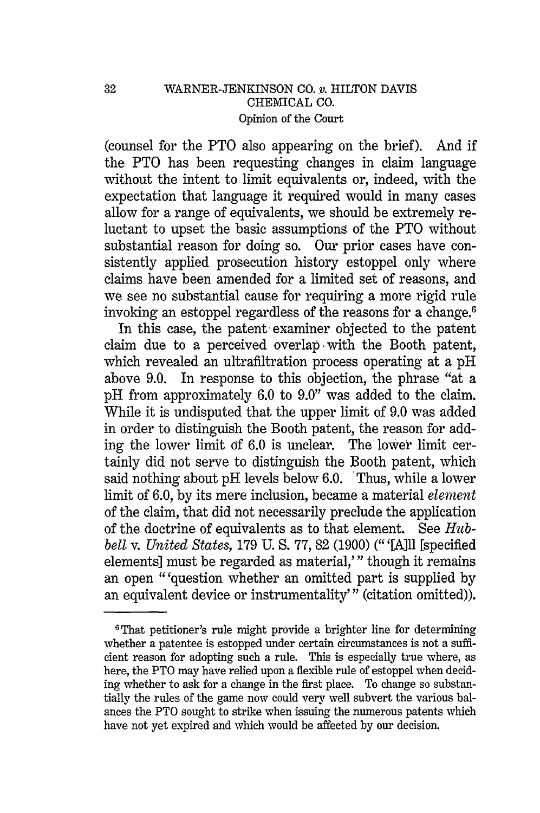(counsel for the PTO also appearing on the brief). And if the PTO has been requesting changes in claim language without the intent to limit equivalents or, indeed, with the expectation that language it required would in many cases allow for a range of equivalents, we should be extremely reluctant to upset the basic assumptions of the PTO without substantial reason for doing so. Our prior cases have consistently applied prosecution history estoppel only where claims have been amended for a limited set of reasons, and we see no substantial cause for requiring a more rigid rule invoking an estoppel regardless of the reasons for a change.<sup>6</sup>

In this case, the patent examiner objected to the patent claim due to a perceived overlap with the Booth patent, which revealed an ultrafiltration process operating at a pH above 9.0. In response to this objection, the phrase "at a pH from approximately 6.0 to 9.0" was added to the claim. While it is undisputed that the upper limit of 9.0 was added in order to distinguish the Booth patent, the reason for adding the lower limit of  $6.0$  is unclear. The lower limit certainly did not serve to distinguish the Booth patent, which said nothing about pH levels below 6.0. Thus, while a lower limit of 6.0, by its mere inclusion, became a material *element* of the claim, that did not necessarily preclude the application of the doctrine of equivalents as to that element. See *Hubbell* v. *United States,* 179 U. S. 77, 82 (1900) (" '[A]ll [specified elements] must be regarded as material," though it remains an open "'question whether an omitted part is supplied by an equivalent device or instrumentality"' (citation omitted)).

<sup>6</sup>That petitioner's rule might provide a brighter line for determining whether a patentee is estopped under certain circumstances is not a sufficient reason for adopting such a rule. This is especially true where, as here, the PTO may have relied upon a flexible rule of estoppel when deciding whether to ask for a change in the first place. To change so substantially the rules of the game now could very well subvert the various balances the PTO sought to strike when issuing the numerous patents which have not yet expired and which would be affected by our decision.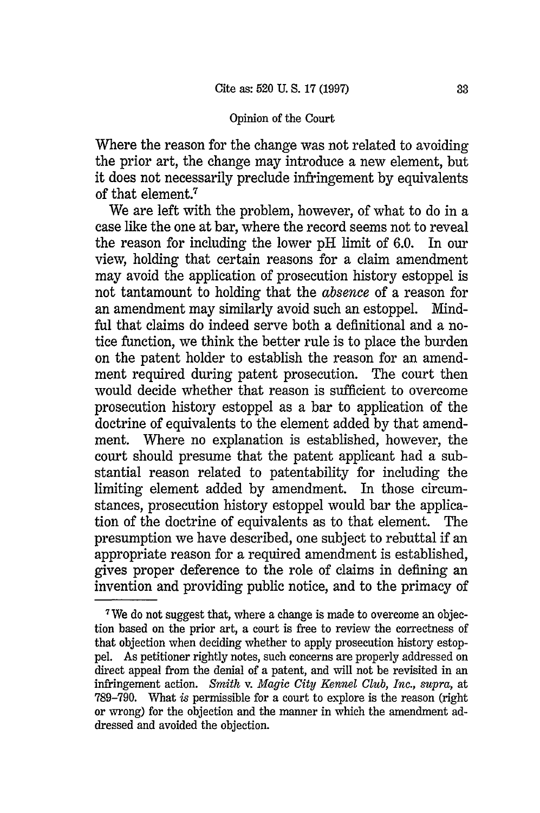Where the reason for the change was not related to avoiding the prior art, the change may introduce a new element, but it does not necessarily preclude infringement by equivalents of that element.7

We are left with the problem, however, of what to do in a case like the one at bar, where the record seems not to reveal the reason for including the lower pH limit of 6.0. In our view, holding that certain reasons for a claim amendment may avoid the application of prosecution history estoppel is not tantamount to holding that the *absence* of a reason for an amendment may similarly avoid such an estoppel. Mindful that claims do indeed serve both a definitional and a notice function, we think the better rule is to place the burden on the patent holder to establish the reason for an amendment required during patent prosecution. The court then would decide whether that reason is sufficient to overcome prosecution history estoppel as a bar to application of the doctrine of equivalents to the element added by that amendment. Where no explanation is established, however, the court should presume that the patent applicant had a substantial reason related to patentability for including the limiting element added by amendment. In those circumstances, prosecution history estoppel would bar the application of the doctrine of equivalents as to that element. The presumption we have described, one subject to rebuttal if an appropriate reason for a required amendment is established, gives proper deference to the role of claims in defining an invention and providing public notice, and to the primacy of

**<sup>7</sup>** We do not suggest that, where a change is made to overcome an objection based on the prior art, a court is free to review the correctness of that objection when deciding whether to apply prosecution history estoppel. As petitioner rightly notes, such concerns are properly addressed on direct appeal from the denial of a patent, and will not be revisited in an infringement action. *Smith v. Magic City Kennel Club, Inc., supra,* at 789-790. What *is* permissible for a court to explore is the reason (right or wrong) for the objection and the manner in which the amendment addressed and avoided the objection.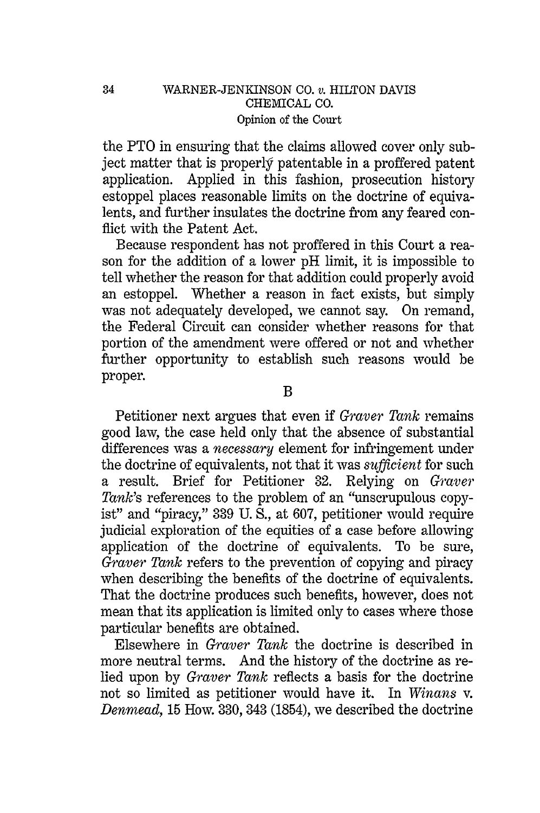the PTO in ensuring that the claims allowed cover only subject matter that is properly patentable in a proffered patent application. Applied in this fashion, prosecution history estoppel places reasonable limits on the doctrine of equivalents, and further insulates the doctrine from any feared conflict with the Patent Act.

Because respondent has not proffered in this Court a reason for the addition of a lower pH limit, it is impossible to tell whether the reason for that addition could properly avoid an estoppel. Whether a reason in fact exists, but simply was not adequately developed, we cannot say. On remand, the Federal Circuit can consider whether reasons for that portion of the amendment were offered or not and whether further opportunity to establish such reasons would be proper.

B

Petitioner next argues that even if *Graver Tank* remains good law, the case held only that the absence of substantial differences was a *necessary* element for infringement under the doctrine of equivalents, not that it was *sufficient* for such a result. Brief for Petitioner 32. Relying on *Graver Tank's* references to the problem of an "unscrupulous copyist" and "piracy," 339 U. S., at 607, petitioner would require judicial exploration of the equities of a case before allowing application of the doctrine of equivalents. To be sure, *Graver Tank* refers to the prevention of copying and piracy when describing the benefits of the doctrine of equivalents. That the doctrine produces such benefits, however, does not mean that its application is limited only to cases where those particular benefits are obtained.

Elsewhere in *Graver Tank* the doctrine is described in more neutral terms. And the history of the doctrine as relied upon by *Graver Tank* reflects a basis for the doctrine not so limited as petitioner would have it. In *Winans* v. *Denmead,* 15 How. 330, 343 (1854), we described the doctrine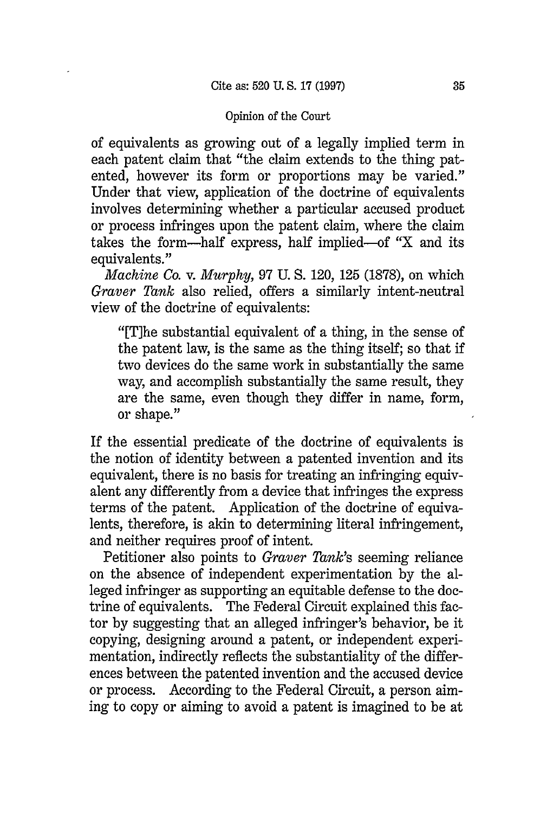of equivalents as growing out of a legally implied term in each patent claim that "the claim extends to the thing patented, however its form or proportions may be varied." Under that view, application of the doctrine of equivalents involves determining whether a particular accused product or process infringes upon the patent claim, where the claim takes the form-half express, half implied-of "X and its equivalents."

*Machine Co. v. Murphy,* 97 U. S. 120, 125 (1878), on which *Graver Tank* also relied, offers a similarly intent-neutral view of the doctrine of equivalents:

"[T]he substantial equivalent of a thing, in the sense of the patent law, is the same as the thing itself; so that if two devices do the same work in substantially the same way, and accomplish substantially the same result, they are the same, even though they differ in name, form, or shape."

If the essential predicate of the doctrine of equivalents is the notion of identity between a patented invention and its equivalent, there is no basis for treating an infringing equivalent any differently from a device that infringes the express terms of the patent. Application of the doctrine of equivalents, therefore, is akin to determining literal infringement, and neither requires proof of intent.

Petitioner also points to *Graver Tank's* seeming reliance on the absence of independent experimentation by the alleged infringer as supporting an equitable defense to the doctrine of equivalents. The Federal Circuit explained this factor by suggesting that an alleged infringer's behavior, be it copying, designing around a patent, or independent experimentation, indirectly reflects the substantiality of the differences between the patented invention and the accused device or process. According to the Federal Circuit, a person aiming to copy or aiming to avoid a patent is imagined to be at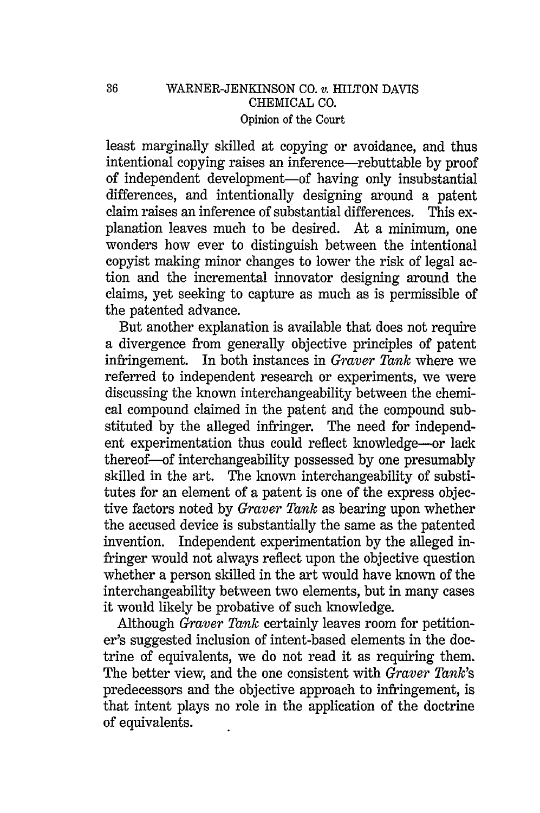least marginally skilled at copying or avoidance, and thus intentional copying raises an inference—rebuttable by proof of independent development-of having only insubstantial differences, and intentionally designing around a patent claim raises an inference of substantial differences. This explanation leaves much to be desired. At a minimum, one wonders how ever to distinguish between the intentional copyist making minor changes to lower the risk of legal action and the incremental innovator designing around the claims, yet seeking to capture as much as is permissible of the patented advance.

But another explanation is available that does not require a divergence from generally objective principles of patent infringement. In both instances in *Graver Tank* where we referred to independent research or experiments, we were discussing the known interchangeability between the chemical compound claimed in the patent and the compound substituted by the alleged infringer. The need for independent experimentation thus could reflect knowledge-or lack thereof-of interchangeability possessed by one presumably skilled in the art. The known interchangeability of substitutes for an element of a patent is one of the express objective factors noted by *Graver Tank* as bearing upon whether the accused device is substantially the same as the patented invention. Independent experimentation by the alleged infringer would not always reflect upon the objective question whether a person skilled in the art would have known of the interchangeability between two elements, but in many cases it would likely be probative of such knowledge.

Although *Graver Tank* certainly leaves room for petitioner's suggested inclusion of intent-based elements in the doctrine of equivalents, we do not read it as requiring them. The better view, and the one consistent with *Graver Tank's* predecessors and the objective approach to infringement, is that intent plays no role in the application of the doctrine of equivalents.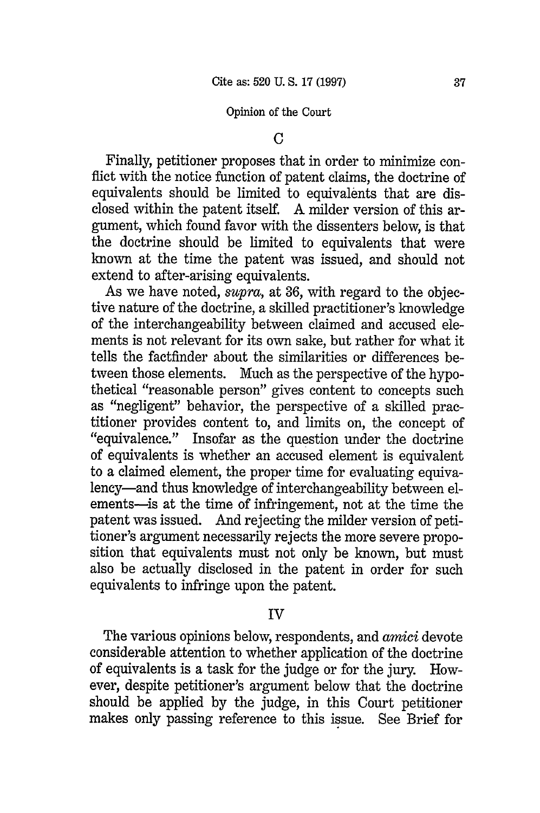Finally, petitioner proposes that in order to minimize conflict with the notice function of patent claims, the doctrine of equivalents should be limited to equivalents that are disclosed within the patent itself. A milder version of this argument, which found favor with the dissenters below, is that the doctrine should be limited to equivalents that were known at the time the patent was issued, and should not extend to after-arising equivalents.

As we have noted, *supra,* at **36,** with regard to the objective nature of the doctrine, a skilled practitioner's knowledge of the interchangeability between claimed and accused elements is not relevant for its own sake, but rather for what it tells the factfinder about the similarities or differences between those elements. Much as the perspective of the hypothetical "reasonable person" gives content to concepts such as "negligent" behavior, the perspective of a skilled practitioner provides content to, and limits on, the concept of "equivalence." Insofar as the question under the doctrine of equivalents is whether an accused element is equivalent to a claimed element, the proper time for evaluating equivalency-and thus knowledge of interchangeability between elements-is at the time of infringement, not at the time the patent was issued. And rejecting the milder version of petitioner's argument necessarily rejects the more severe proposition that equivalents must not only be known, but must also be actually disclosed in the patent in order for such equivalents to infringe upon the patent.

IV

The various opinions below, respondents, and *amici* devote considerable attention to whether application of the doctrine of equivalents is a task for the judge or for the jury. However, despite petitioner's argument below that the doctrine should be applied by the judge, in this Court petitioner makes only passing reference to this issue. See Brief for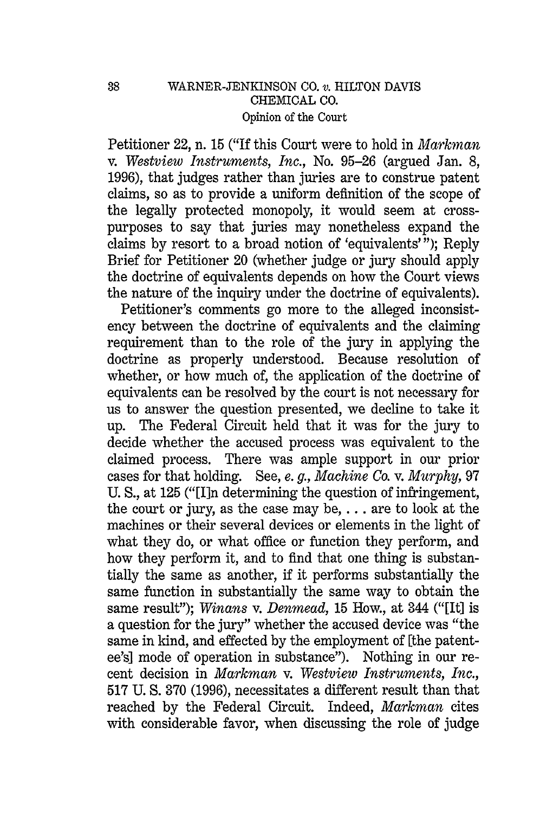Petitioner 22, n. 15 ("If this Court were to hold in *Markman v. Westview Instruments, Inc.,* No. 95-26 (argued Jan. 8, 1996), that judges rather than juries are to construe patent claims, so as to provide a uniform definition of the scope of the legally protected monopoly, it would seem at crosspurposes to say that juries may nonetheless expand the claims by resort to a broad notion of 'equivalents' "); Reply Brief for Petitioner 20 (whether judge or jury should apply the doctrine of equivalents depends on how the Court views the nature of the inquiry under the doctrine of equivalents).

Petitioner's comments go more to the alleged inconsistency between the doctrine of equivalents and the claiming requirement than to the role of the jury in applying the doctrine as properly understood. Because resolution of whether, or how much of, the application of the doctrine of equivalents can be resolved by the court is not necessary for us to answer the question presented, we decline to take it up. The Federal Circuit held that it was for the jury to decide whether the accused process was equivalent to the claimed process. There was ample support in our prior cases for that holding. See, *e. g., Machine Co. v. Murphy,* 97 U. S., at 125 ("[I]n determining the question of infringement, the court or jury, as the case may be, **. . .** are to look at the machines or their several devices or elements in the light of what they do, or what office or function they perform, and how they perform it, and to find that one thing is substantially the same as another, if it performs substantially the same function in substantially the same way to obtain the same result"); *Winans* v. *Denmead,* 15 How., at 344 ("[It] is a question for the jury" whether the accused device was "the same in kind, and effected by the employment of [the patentee's] mode of operation in substance"). Nothing in our recent decision in *Markman* v. *Westview Instruments, Inc.,* 517 U. S. 370 (1996), necessitates a different result than that reached by the Federal Circuit. Indeed, *Markman* cites with considerable favor, when discussing the role of judge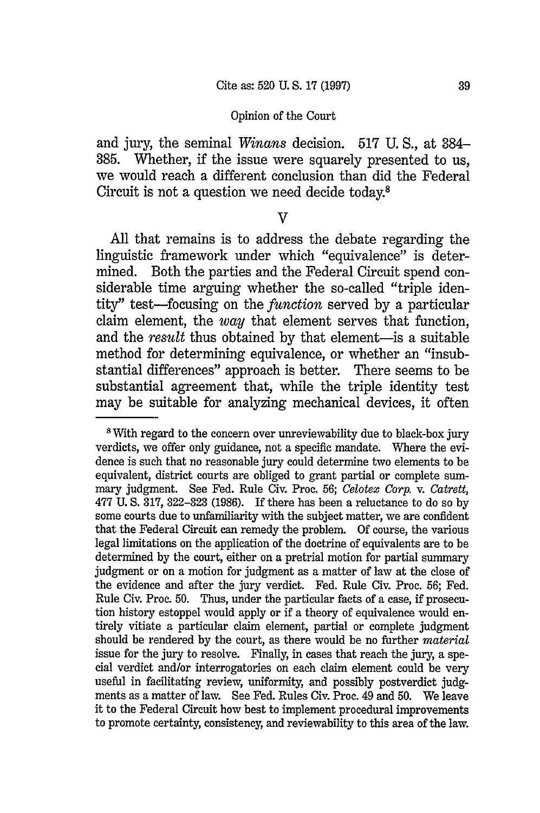and jury, the seminal *Winans* decision. 517 U. S., at 384- 385. Whether, if the issue were squarely presented to us, we would reach a different conclusion than did the Federal Circuit is not a question we need decide today.8

V

All that remains is to address the debate regarding the linguistic framework under which "equivalence" is determined. Both the parties and the Federal Circuit spend considerable time arguing whether the so-called "triple identity" test-focusing on the *function* served by a particular claim element, the *way* that element serves that function, and the *result* thus obtained by that element-is a suitable method for determining equivalence, or whether an "insubstantial differences" approach is better. There seems to be substantial agreement that, while the triple identity test may be suitable for analyzing mechanical devices, it often

**<sup>8</sup>** With regard to the concern over unreviewability due to black-box jury verdicts, we offer only guidance, not a specific mandate. Where the evidence is such that no reasonable jury could determine two elements to be equivalent, district courts are obliged to grant partial or complete summary judgment. See Fed. Rule Civ. Proc. 56; *Celotex Corp. v. Catrett,* 477 U. **S.** 317, 322-323 (1986). If there has been a reluctance to do so by some courts due to unfamiliarity with the subject matter, we are confident that the Federal Circuit can remedy the problem. Of course, the various legal limitations on the application of the doctrine of equivalents are to be determined by the court, either on a pretrial motion for partial summary judgment or on a motion for judgment as a matter of law at the close of the evidence and after the jury verdict. Fed. Rule Civ. Proc. **56;** Fed. Rule Civ. Proc. 50. Thus, under the particular facts of a case, if prosecution history estoppel would apply or if a theory of equivalence would entirely vitiate a particular claim element, partial or complete judgment should be rendered by the court, as there would be no further *material* issue for the jury to resolve. Finally, in cases that reach the jury, a special verdict and/or interrogatories on each claim element could be very useful in facilitating review, uniformity, and possibly postverdict judgments as a matter of law. See Fed. Rules Civ. Proc. 49 and 50. We leave it to the Federal Circuit how best to implement procedural improvements to promote certainty, consistency, and reviewability to this area of the law.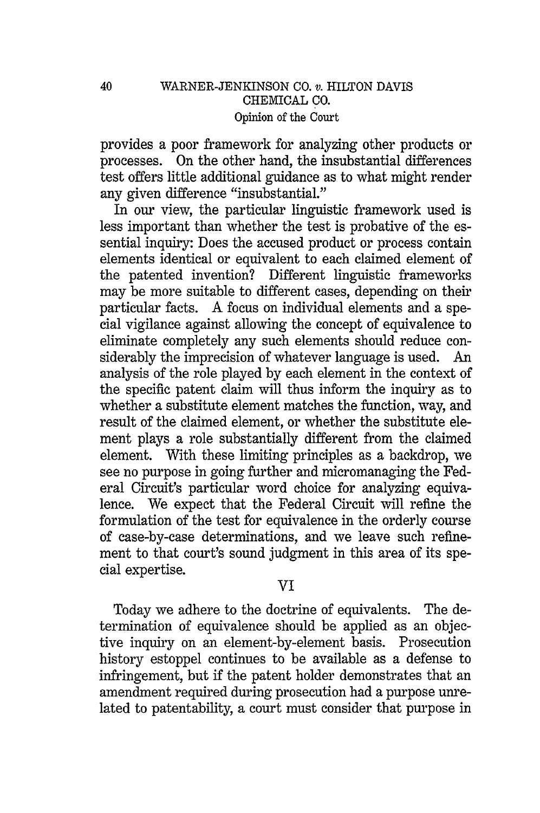provides a poor framework for analyzing other products or processes. On the other hand, the insubstantial differences test offers little additional guidance as to what might render any given difference "insubstantial."

In our view, the particular linguistic framework used is less important than whether the test is probative of the essential inquiry: Does the accused product or process contain elements identical or equivalent to each claimed element of the patented invention? Different linguistic frameworks may be more suitable to different cases, depending on their particular facts. A focus on individual elements and a special vigilance against allowing the concept of equivalence to eliminate completely any such elements should reduce considerably the imprecision of whatever language is used. An analysis of the role played by each element in the context of the specific patent claim will thus inform the inquiry as to whether a substitute element matches the function, way, and result of the claimed element, or whether the substitute element plays a role substantially different from the claimed element. With these limiting principles as a backdrop, we see no purpose in going further and micromanaging the Federal Circuit's particular word choice for analyzing equivalence. We expect that the Federal Circuit will refine the formulation of the test for equivalence in the orderly course of case-by-case determinations, and we leave such refinement to that court's sound judgment in this area of its special expertise.

# VI

Today we adhere to the doctrine of equivalents. The determination of equivalence should be applied as an objective inquiry on an element-by-element basis. Prosecution history estoppel continues to be available as a defense to infringement, but if the patent holder demonstrates that an amendment required during prosecution had a purpose unrelated to patentability, a court must consider that purpose in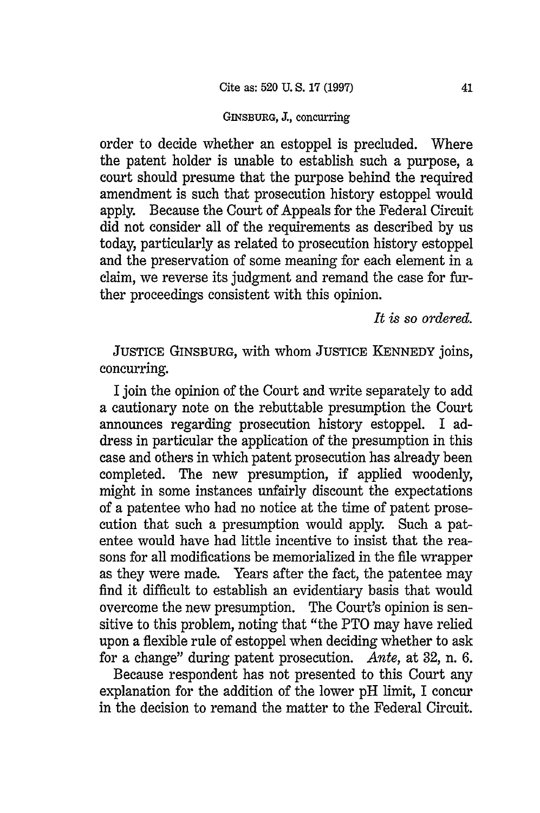#### GINSBURG, J., concurring

order to decide whether an estoppel is precluded. Where the patent holder is unable to establish such a purpose, a court should presume that the purpose behind the required amendment is such that prosecution history estoppel would apply. Because the Court of Appeals for the Federal Circuit did not consider all of the requirements as described by us today, particularly as related to prosecution history estoppel and the preservation of some meaning for each element in a claim, we reverse its judgment and remand the case for further proceedings consistent with this opinion.

*It is so ordered.*

JUSTICE GINSBURG, with whom JUSTICE KENNEDY joins, concurring.

I join the opinion of the Court and write separately to add a cautionary note on the rebuttable presumption the Court announces regarding prosecution history estoppel. I address in particular the application of the presumption in this case and others in which patent prosecution has already been completed. The new presumption, if applied woodenly, might in some instances unfairly discount the expectations of a patentee who had no notice at the time of patent prosecution that such a presumption would apply. Such a patentee would have had little incentive to insist that the reasons for all modifications be memorialized in the file wrapper as they were made. Years after the fact, the patentee may find it difficult to establish an evidentiary basis that would overcome the new presumption. The Court's opinion is sensitive to this problem, noting that "the PTO may have relied upon a flexible rule of estoppel when deciding whether to ask for a change" during patent prosecution. *Ante,* at 32, n. 6.

Because respondent has not presented to this Court any explanation for the addition of the lower pH limit, I concur in the decision to remand the matter to the Federal Circuit.